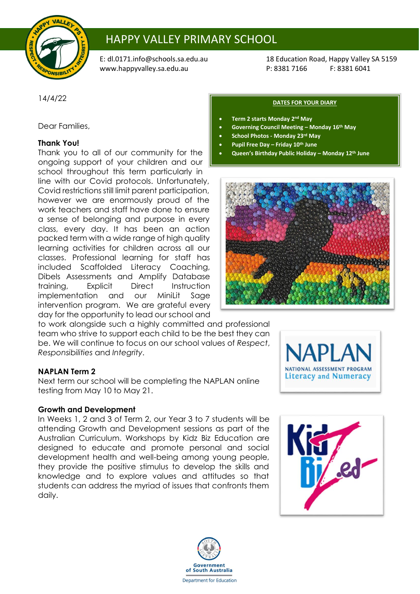

# HAPPY VALLEY PRIMARY SCHOOL

[www.happyvalley.sa.edu.au](http://www.happyvalley.sa.edu.au/) P: 8381 7166

E: [dl.0171.info@schools.sa.edu.au](mailto:dl.0171.info@schools.sa.edu.au) 18 Education Road, Happy Valley SA 5159<br>www.happyvalley.sa.edu.au 1990 P: 8381 7166 F: 8381 6041

14/4/22

Dear Families,

# **Thank You!**

Thank you to all of our community for the ongoing support of your children and our school throughout this term particularly in

line with our Covid protocols. Unfortunately, Covid restrictions still limit parent participation, however we are enormously proud of the work teachers and staff have done to ensure a sense of belonging and purpose in every class, every day. It has been an action packed term with a wide range of high quality learning activities for children across all our classes. Professional learning for staff has included Scaffolded Literacy Coaching, Dibels Assessments and Amplify Database training, Explicit Direct Instruction implementation and our MiniLit Sage intervention program. We are grateful every day for the opportunity to lead our school and

to work alongside such a highly committed and professional team who strive to support each child to be the best they can be. We will continue to focus on our school values of *Respect*, *Responsibilities* and *Integrity*.

## **NAPLAN Term 2**

Next term our school will be completing the NAPLAN online testing from May 10 to May 21.

## **Growth and Development**

In Weeks 1, 2 and 3 of Term 2, our Year 3 to 7 students will be attending Growth and Development sessions as part of the Australian Curriculum. Workshops by Kidz Biz Education are designed to educate and promote personal and social development health and well-being among young people, they provide the positive stimulus to develop the skills and knowledge and to explore values and attitudes so that students can address the myriad of issues that confronts them daily.



#### **DATES FOR YOUR DIARY**

- **Term 2 starts Monday 2 nd May**
- **Governing Council Meeting – Monday 16th May**
- **School Photos - Monday 23rd May**
- **Pupil Free Day – Friday 10th June**
- **Queen's Birthday Public Holiday – Monday 12th June**